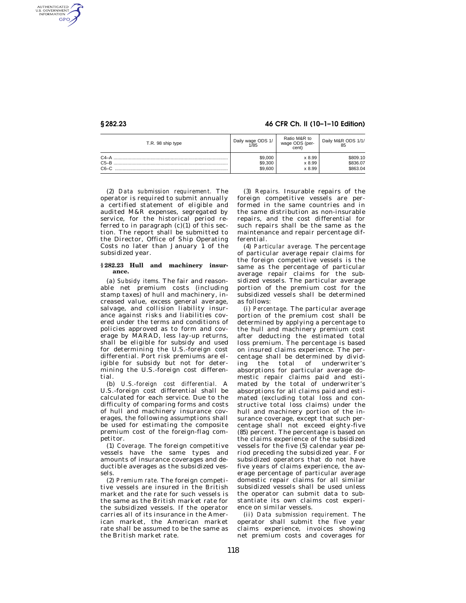AUTHENTICATED<br>U.S. GOVERNMENT<br>INFORMATION GPO

## **§ 282.23 46 CFR Ch. II (10–1–10 Edition)**

| T.R. 98 ship type            | Daily wage ODS 1/             | Ratio M&R to               | Daily M&R ODS 1/1/               |
|------------------------------|-------------------------------|----------------------------|----------------------------------|
|                              | 1/85                          | wage ODS (per-<br>cent)    | 85                               |
| $C4-A$<br>$C5 - B$<br>$C6-C$ | \$9,000<br>\$9,300<br>\$9,600 | x 8.99<br>x 8.99<br>x 8.99 | \$809.10<br>\$836.07<br>\$863.04 |

(2) *Data submission requirement.* The operator is required to submit annually a certified statement of eligible and audited M&R expenses, segregated by service, for the historical period referred to in paragraph  $(c)(1)$  of this section. The report shall be submitted to the Director, Office of Ship Operating Costs no later than January 1 of the subsidized year.

## **§ 282.23 Hull and machinery insurance.**

(a) *Subsidy items.* The fair and reasonable net premium costs (including stamp taxes) of hull and machinery, increased value, excess general average, salvage, and collision liability insurance against risks and liabilities covered under the terms and conditions of policies approved as to form and coverage by MARAD, less lay-up returns, shall be eligible for subsidy and used for determining the U.S.-foreign cost differential. Port risk premiums are eligible for subsidy but not for determining the U.S.-foreign cost differential.

(b) *U.S.-foreign cost differential.* A U.S.-foreign cost differential shall be calculated for each service. Due to the difficulty of comparing forms and costs of hull and machinery insurance coverages, the following assumptions shall be used for estimating the composite premium cost of the foreign-flag competitor.

(1) *Coverage.* The foreign competitive vessels have the same types and amounts of insurance coverages and deductible averages as the subsidized vessels.

(2) *Premium rate.* The foreign competitive vessels are insured in the British market and the rate for such vessels is the same as the British market rate for the subsidized vessels. If the operator carries all of its insurance in the American market, the American market rate shall be assumed to be the same as the British market rate.

(3) *Repairs.* Insurable repairs of the foreign competitive vessels are performed in the same countries and in the same distribution as non-insurable repairs, and the cost differential for such repairs shall be the same as the maintenance and repair percentage differential.

(4) *Particular average.* The percentage of particular average repair claims for the foreign competitive vessels is the same as the percentage of particular average repair claims for the subsidized vessels. The particular average portion of the premium cost for the subsidized vessels shall be determined as follows:

(i) *Percentage.* The particular average portion of the premium cost shall be determined by applying a percentage to the hull and machinery premium cost after deducting the estimated total loss premium. The percentage is based on insured claims experience. The percentage shall be determined by dividing the total of underwriter's absorptions for particular average domestic repair claims paid and estimated by the total of underwriter's absorptions for all claims paid and estimated (excluding total loss and constructive total loss claims) under the hull and machinery portion of the insurance coverage, except that such percentage shall not exceed eighty-five (85) percent. The percentage is based on the claims experience of the subsidized vessels for the five (5) calendar year period preceding the subsidized year. For subsidized operators that do not have five years of claims experience, the average percentage of particular average domestic repair claims for all similar subsidized vessels shall be used unless the operator can submit data to substantiate its own claims cost experience on similar vessels.

(ii) *Data submission requirement.* The operator shall submit the five year claims experience, invoices showing net premium costs and coverages for